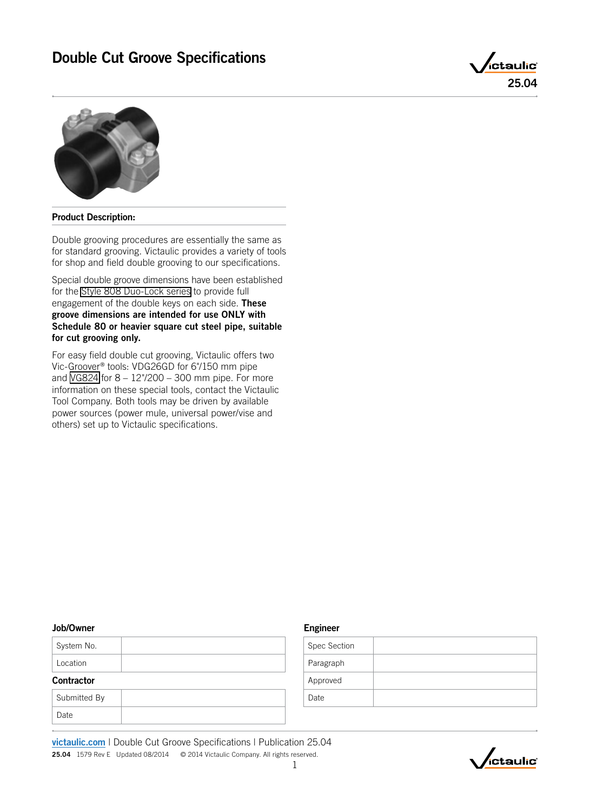



# Product Description:

Double grooving procedures are essentially the same as for standard grooving. Victaulic provides a variety of tools for shop and field double grooving to our specifications.

Special double groove dimensions have been established for the [Style 808 Duo-Lock series](https://www.victaulic.com/assets/uploads/literature/I-808.pdf) to provide full engagement of the double keys on each side. These groove dimensions are intended for use ONLY with Schedule 80 or heavier square cut steel pipe, suitable for cut grooving only.

For easy field double cut grooving, Victaulic offers two Vic-Groover® tools: VDG26GD for 6"/150 mm pipe and [VG824](https://www.victaulic.com/products/vg824-cut-grooving-tools/) for 8 – 12"/200 – 300 mm pipe. For more information on these special tools, contact the Victaulic Tool Company. Both tools may be driven by available power sources (power mule, universal power/vise and others) set up to Victaulic specifications.

## Job/Owner

| <b>Contractor</b> |  |  |  |  |  |  |
|-------------------|--|--|--|--|--|--|
| Location          |  |  |  |  |  |  |
| System No.        |  |  |  |  |  |  |

| Submitted By |  |
|--------------|--|
| Date         |  |

# Engineer

| Spec Section |  |
|--------------|--|
| Paragraph    |  |
| Approved     |  |
| Date         |  |

[victaulic.com](http://www.victaulic.com/en/) | Double Cut Groove Specifications | Publication 25.04 25.04 1579 Rev E Updated 08/2014 © 2014 Victaulic Company. All rights reserved.

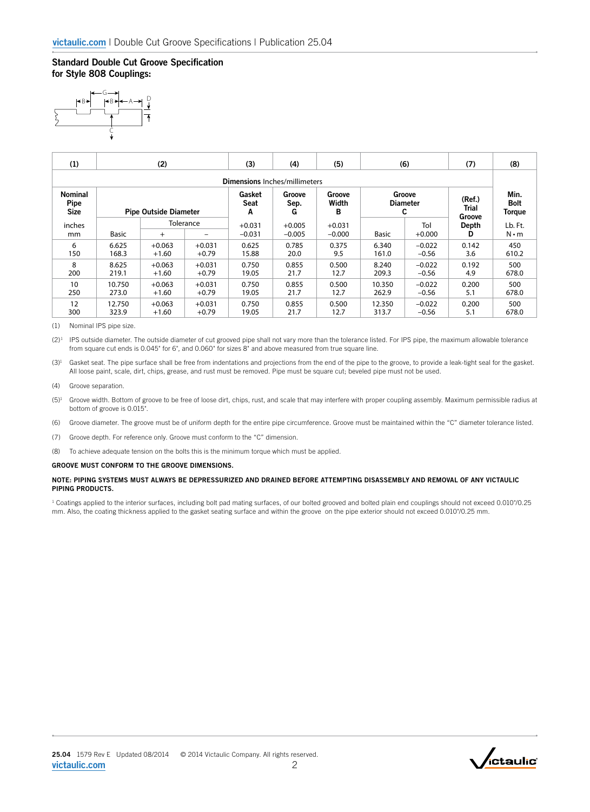# Standard Double Cut Groove Specification

for Style 808 Couplings:



| (1)                                  | (2)                          |          |           | (3)                  | (4)                  | (5)                  | (6)             |                 | (7)        | (8)                    |
|--------------------------------------|------------------------------|----------|-----------|----------------------|----------------------|----------------------|-----------------|-----------------|------------|------------------------|
| <b>Dimensions</b> Inches/millimeters |                              |          |           |                      |                      |                      |                 |                 |            |                        |
| <b>Nominal</b>                       | <b>Pipe Outside Diameter</b> |          |           | Gasket               | Groove               | Groove               | Groove          |                 | (Ref.)     | Min.                   |
| Pipe                                 |                              |          |           | Seat                 | Sep.                 | Width                | <b>Diameter</b> |                 | Trial      | <b>Bolt</b>            |
| <b>Size</b>                          |                              |          |           | A                    | G                    | в                    | C               |                 | Groove     | <b>Torque</b>          |
| inches<br>mm                         | <b>Basic</b>                 | $+$      | Tolerance | $+0.031$<br>$-0.031$ | $+0.005$<br>$-0.005$ | $+0.031$<br>$-0.000$ | <b>Basic</b>    | Tol<br>$+0.000$ | Depth<br>D | Lb. Ft.<br>$N \cdot m$ |
| 6                                    | 6.625                        | $+0.063$ | $+0.031$  | 0.625                | 0.785                | 0.375                | 6.340           | $-0.022$        | 0.142      | 450                    |
| 150                                  | 168.3                        | $+1.60$  | $+0.79$   | 15.88                | 20.0                 | 9.5                  | 161.0           | $-0.56$         | 3.6        | 610.2                  |
| 8                                    | 8.625                        | $+0.063$ | $+0.031$  | 0.750                | 0.855                | 0.500                | 8.240           | $-0.022$        | 0.192      | 500                    |
| 200                                  | 219.1                        | $+1.60$  | $+0.79$   | 19.05                | 21.7                 | 12.7                 | 209.3           | $-0.56$         | 4.9        | 678.0                  |
| 10                                   | 10.750                       | $+0.063$ | $+0.031$  | 0.750                | 0.855                | 0.500                | 10.350          | $-0.022$        | 0.200      | 500                    |
| 250                                  | 273.0                        | $+1.60$  | $+0.79$   | 19.05                | 21.7                 | 12.7                 | 262.9           | $-0.56$         | 5.1        | 678.0                  |
| 12                                   | 12.750                       | $+0.063$ | $+0.031$  | 0.750                | 0.855                | 0.500                | 12.350          | $-0.022$        | 0.200      | 500                    |
| 300                                  | 323.9                        | $+1.60$  | $+0.79$   | 19.05                | 21.7                 | 12.7                 | 313.7           | $-0.56$         | 5.1        | 678.0                  |

(1) Nominal IPS pipe size.

(2)<sup>1</sup> IPS outside diameter. The outside diameter of cut grooved pipe shall not vary more than the tolerance listed. For IPS pipe, the maximum allowable tolerance from square cut ends is 0.045" for 6", and 0.060" for sizes 8" and above measured from true square line.

 $(3)^1$  Gasket seat. The pipe surface shall be free from indentations and projections from the end of the pipe to the groove, to provide a leak-tight seal for the gasket. All loose paint, scale, dirt, chips, grease, and rust must be removed. Pipe must be square cut; beveled pipe must not be used.

- (4) Groove separation.
- $(5)^1$  Groove width. Bottom of groove to be free of loose dirt, chips, rust, and scale that may interfere with proper coupling assembly. Maximum permissible radius at bottom of groove is 0.015".
- (6) Groove diameter. The groove must be of uniform depth for the entire pipe circumference. Groove must be maintained within the "C" diameter tolerance listed.
- (7) Groove depth. For reference only. Groove must conform to the "C" dimension.
- (8) To achieve adequate tension on the bolts this is the minimum torque which must be applied.

## GROOVE MUST CONFORM TO THE GROOVE DIMENSIONS.

## NOTE: PIPING SYSTEMS MUST ALWAYS BE DEPRESSURIZED AND DRAINED BEFORE ATTEMPTING DISASSEMBLY AND REMOVAL OF ANY VICTAULIC PIPING PRODUCTS.

<sup>1</sup> Coatings applied to the interior surfaces, including bolt pad mating surfaces, of our bolted grooved and bolted plain end couplings should not exceed 0.010"/0.25 mm. Also, the coating thickness applied to the gasket seating surface and within the groove on the pipe exterior should not exceed 0.010"/0.25 mm.